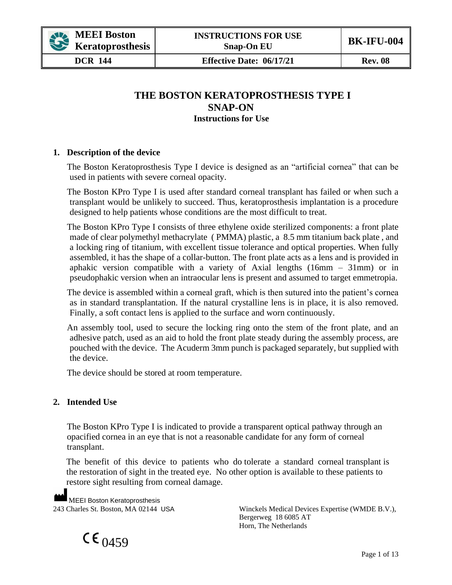

**DCR 144 Effective Date: 06/17/21 Rev. 08** 

# **THE BOSTON KERATOPROSTHESIS TYPE I SNAP-ON Instructions for Use**

### **1. Description of the device**

The Boston Keratoprosthesis Type I device is designed as an "artificial cornea" that can be used in patients with severe corneal opacity.

The Boston KPro Type I is used after standard corneal transplant has failed or when such a transplant would be unlikely to succeed. Thus, keratoprosthesis implantation is a procedure designed to help patients whose conditions are the most difficult to treat.

The Boston KPro Type I consists of three ethylene oxide sterilized components: a front plate made of clear polymethyl methacrylate ( PMMA) plastic, a 8.5 mm titanium back plate , and a locking ring of titanium, with excellent tissue tolerance and optical properties. When fully assembled, it has the shape of a collar-button. The front plate acts as a lens and is provided in aphakic version compatible with a variety of Axial lengths (16mm – 31mm) or in pseudophakic version when an intraocular lens is present and assumed to target emmetropia.

The device is assembled within a corneal graft, which is then sutured into the patient's cornea as in standard transplantation. If the natural crystalline lens is in place, it is also removed. Finally, a soft contact lens is applied to the surface and worn continuously.

An assembly tool, used to secure the locking ring onto the stem of the front plate, and an adhesive patch, used as an aid to hold the front plate steady during the assembly process, are pouched with the device. The Acuderm 3mm punch is packaged separately, but supplied with the device.

The device should be stored at room temperature.

### **2. Intended Use**

The Boston KPro Type I is indicated to provide a transparent optical pathway through an opacified cornea in an eye that is not a reasonable candidate for any form of corneal transplant.

The benefit of this device to patients who do tolerate a standard corneal transplant is the restoration of sight in the treated eye. No other option is available to these patients to restore sight resulting from corneal damage.

MEEI Boston Keratoprosthesis

243 Charles St. Boston, MA 02144 USA Winckels Medical Devices Expertise (WMDE B.V.), Bergerweg 18 6085 AT Horn, The Netherlands

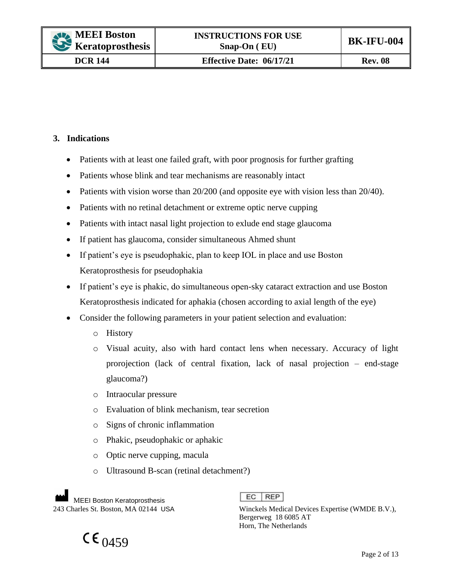## **3. Indications**

- Patients with at least one failed graft, with poor prognosis for further grafting
- Patients whose blink and tear mechanisms are reasonably intact
- Patients with vision worse than  $20/200$  (and opposite eye with vision less than  $20/40$ ).
- Patients with no retinal detachment or extreme optic nerve cupping
- Patients with intact nasal light projection to exlude end stage glaucoma
- If patient has glaucoma, consider simultaneous Ahmed shunt
- If patient's eye is pseudophakic, plan to keep IOL in place and use Boston Keratoprosthesis for pseudophakia
- If patient's eye is phakic, do simultaneous open-sky cataract extraction and use Boston Keratoprosthesis indicated for aphakia (chosen according to axial length of the eye)
- Consider the following parameters in your patient selection and evaluation:
	- o History
	- o Visual acuity, also with hard contact lens when necessary. Accuracy of light prorojection (lack of central fixation, lack of nasal projection – end-stage glaucoma?)
	- o Intraocular pressure
	- o Evaluation of blink mechanism, tear secretion
	- o Signs of chronic inflammation
	- o Phakic, pseudophakic or aphakic
	- o Optic nerve cupping, macula
	- o Ultrasound B-scan (retinal detachment?)

MEEI Boston Keratoprosthesis<br>243 Charles St. Boston, MA 02144 USA

 $CE_{0.459}$ 

 $EC$  REP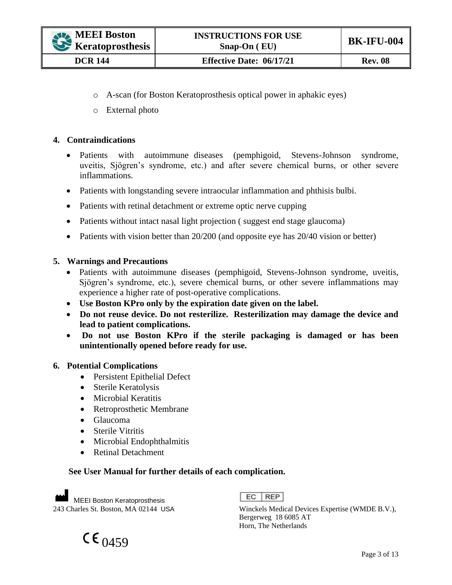- o A-scan (for Boston Keratoprosthesis optical power in aphakic eyes)
- o External photo

### **4. Contraindications**

- Patients with autoimmune diseases (pemphigoid, Stevens-Johnson syndrome, uveitis, Sjögren's syndrome, etc.) and after severe chemical burns, or other severe inflammations.
- Patients with longstanding severe intraocular inflammation and phthisis bulbi.
- Patients with retinal detachment or extreme optic nerve cupping
- Patients without intact nasal light projection (suggest end stage glaucoma)
- Patients with vision better than 20/200 (and opposite eye has 20/40 vision or better)

### **5. Warnings and Precautions**

- Patients with autoimmune diseases (pemphigoid, Stevens-Johnson syndrome, uveitis, Sjögren's syndrome, etc.), severe chemical burns, or other severe inflammations may experience a higher rate of post-operative complications.
- **Use Boston KPro only by the expiration date given on the label.**
- **Do not reuse device. Do not resterilize. Resterilization may damage the device and lead to patient complications.**
- **Do not use Boston KPro if the sterile packaging is damaged or has been unintentionally opened before ready for use.**

### **6. Potential Complications**

- Persistent Epithelial Defect
- Sterile Keratolysis
- Microbial Keratitis
- Retroprosthetic Membrane
- Glaucoma
- Sterile Vitritis
- Microbial Endophthalmitis
- Retinal Detachment

### **See User Manual for further details of each complication.**

**MEEI Boston Keratoprosthesis**<br>243 Charles St. Boston, MA 02144 USA



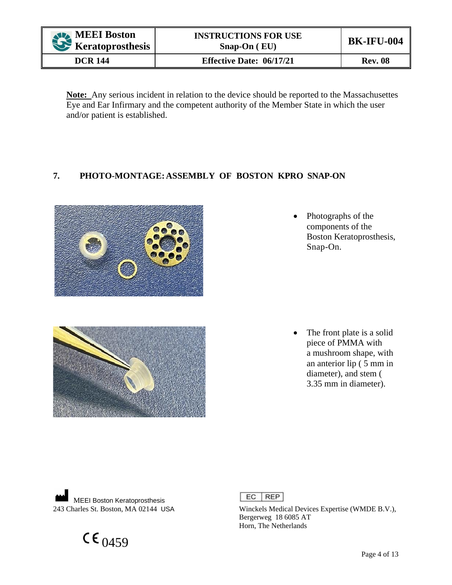| <b>AVA</b> MEEI Boston<br>Keratoprosthesis | <b>INSTRUCTIONS FOR USE</b><br>$S$ nap-On $(EU)$ | <b>BK-IFU-004</b> |
|--------------------------------------------|--------------------------------------------------|-------------------|
| <b>DCR 144</b>                             | <b>Effective Date: 06/17/21</b>                  | <b>Rev. 08</b>    |

**Note:** Any serious incident in relation to the device should be reported to the Massachusettes Eye and Ear Infirmary and the competent authority of the Member State in which the user and/or patient is established.

# **7. PHOTO-MONTAGE:ASSEMBLY OF BOSTON KPRO SNAP-ON**





• Photographs of the components of the Boston Keratoprosthesis, Snap-On.

• The front plate is a solid piece of PMMA with a mushroom shape, with an anterior lip ( 5 mm in diameter), and stem ( 3.35 mm in diameter).

MEEI Boston Keratoprosthesis<br>243 Charles St. Boston, MA 02144 USA

 $CE_{0459}$ 

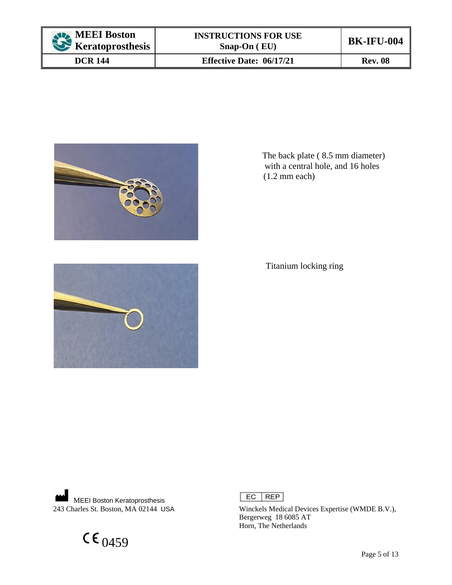| MEEI Boston<br>Keratoprosthesis | <b>INSTRUCTIONS FOR USE</b><br>$S$ nap-On $(EU)$ | <b>BK-IFU-004</b> |
|---------------------------------|--------------------------------------------------|-------------------|
| <b>DCR 144</b>                  | <b>Effective Date: 06/17/21</b>                  | <b>Rev. 08</b>    |



 The back plate ( 8.5 mm diameter) with a central hole, and 16 holes (1.2 mm each)

Titanium locking ring



MEEI Boston Keratoprosthesis<br>243 Charles St. Boston, MA 02144 USA

 $CE_{0459}$ 

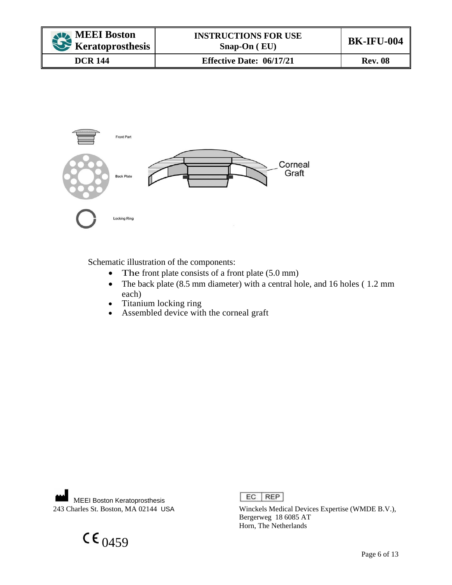| <b>ALA MEEI Boston</b><br>Keratoprosthesis | <b>INSTRUCTIONS FOR USE</b><br>$S$ nap-On $(EU)$ | <b>BK-IFU-004</b> |
|--------------------------------------------|--------------------------------------------------|-------------------|
| <b>DCR 144</b>                             | <b>Effective Date: 06/17/21</b>                  | <b>Rev. 08</b>    |



Schematic illustration of the components:

- The front plate consists of a front plate (5.0 mm)
- The back plate (8.5 mm diameter) with a central hole, and 16 holes (1.2 mm each)
- Titanium locking ring
- Assembled device with the corneal graft

**MEEI Boston Keratoprosthesis**<br>243 Charles St. Boston, MA 02144 USA

 $CE_{0459}$ 

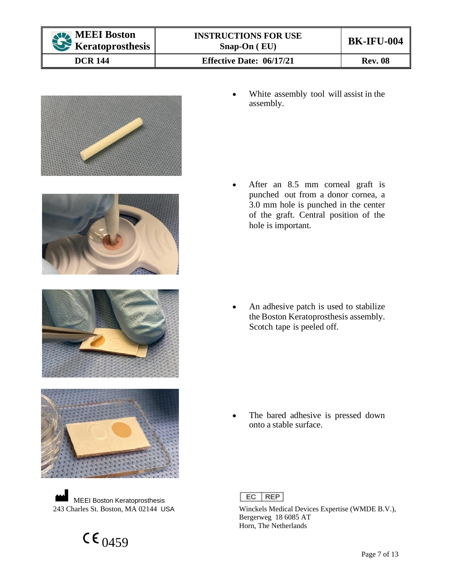







MEEI Boston Keratoprosthesis<br>243 Charles St. Boston, MA 02144 USA

 $CE_{0459}$ 



After an 8.5 mm corneal graft is punched out from a donor cornea, a 3.0 mm hole is punched in the center of the graft. Central position of the hole is important.

An adhesive patch is used to stabilize the Boston Keratoprosthesis assembly. Scotch tape is peeled off.

The bared adhesive is pressed down onto a stable surface.

 $EC$  REP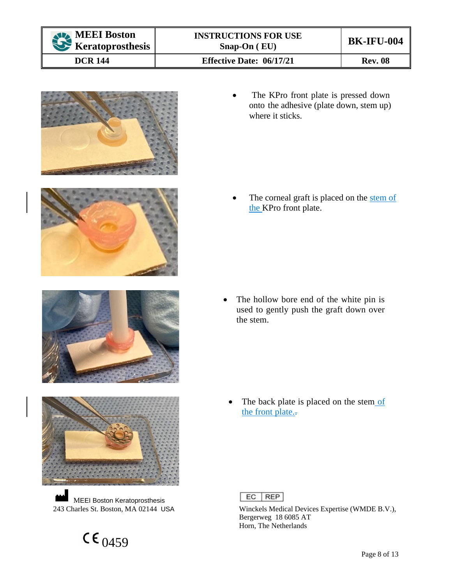









MEEI Boston Keratoprosthesis<br>243 Charles St. Boston, MA 02144 USA



The corneal graft is placed on the stem of the KPro front plate.

• The hollow bore end of the white pin is used to gently push the graft down over the stem.

The back plate is placed on the stem of the front plate.

 $EC$  REP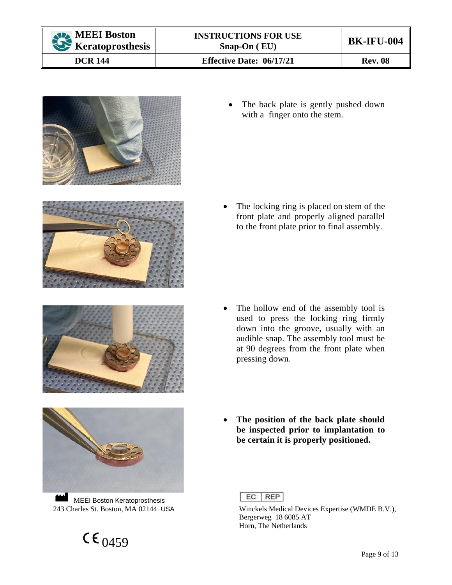









MEEI Boston Keratoprosthesis<br>243 Charles St. Boston, MA 02144 USA



• The locking ring is placed on stem of the front plate and properly aligned parallel to the front plate prior to final assembly.

- The hollow end of the assembly tool is used to press the locking ring firmly down into the groove, usually with an audible snap. The assembly tool must be at 90 degrees from the front plate when pressing down.
- **The position of the back plate should be inspected prior to implantation to be certain it is properly positioned.**

 $EC$  REP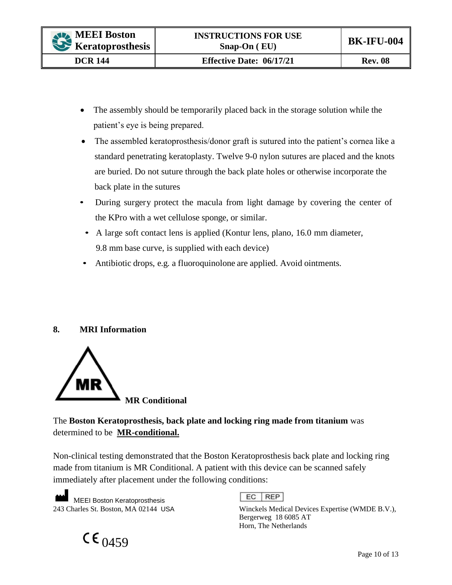- The assembly should be temporarily placed back in the storage solution while the patient's eye is being prepared.
- The assembled keratoprosthesis/donor graft is sutured into the patient's cornea like a standard penetrating keratoplasty. Twelve 9-0 nylon sutures are placed and the knots are buried. Do not suture through the back plate holes or otherwise incorporate the back plate in the sutures
- During surgery protect the macula from light damage by covering the center of the KPro with a wet cellulose sponge, or similar.
- A large soft contact lens is applied (Kontur lens, plano, 16.0 mm diameter, 9.8 mm base curve, is supplied with each device)
- Antibiotic drops, e.g. a fluoroquinolone are applied. Avoid ointments.

# **8. MRI Information**



The **Boston Keratoprosthesis, back plate and locking ring made from titanium** was determined to be **MR-conditional.**

Non-clinical testing demonstrated that the Boston Keratoprosthesis back plate and locking ring made from titanium is MR Conditional. A patient with this device can be scanned safely immediately after placement under the following conditions:

MEEI Boston Keratoprosthesis<br>243 Charles St. Boston, MA 02144 USA

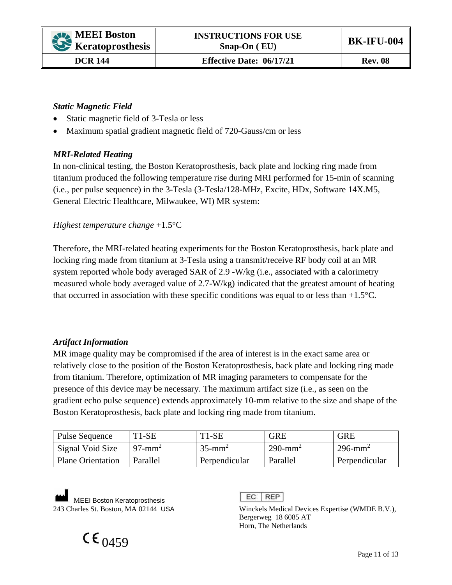## *Static Magnetic Field*

- Static magnetic field of 3-Tesla or less
- Maximum spatial gradient magnetic field of 720-Gauss/cm or less

### *MRI-Related Heating*

In non-clinical testing, the Boston Keratoprosthesis, back plate and locking ring made from titanium produced the following temperature rise during MRI performed for 15-min of scanning (i.e., per pulse sequence) in the 3-Tesla (3-Tesla/128-MHz, Excite, HDx, Software 14X.M5, General Electric Healthcare, Milwaukee, WI) MR system:

### *Highest temperature change* +1.5°C

Therefore, the MRI-related heating experiments for the Boston Keratoprosthesis, back plate and locking ring made from titanium at 3-Tesla using a transmit/receive RF body coil at an MR system reported whole body averaged SAR of 2.9 -W/kg (i.e., associated with a calorimetry measured whole body averaged value of 2.7-W/kg) indicated that the greatest amount of heating that occurred in association with these specific conditions was equal to or less than  $+1.5^{\circ}$ C.

### *Artifact Information*

MR image quality may be compromised if the area of interest is in the exact same area or relatively close to the position of the Boston Keratoprosthesis, back plate and locking ring made from titanium. Therefore, optimization of MR imaging parameters to compensate for the presence of this device may be necessary. The maximum artifact size (i.e., as seen on the gradient echo pulse sequence) extends approximately 10-mm relative to the size and shape of the Boston Keratoprosthesis, back plate and locking ring made from titanium.

| <b>Pulse Sequence</b>    | T <sub>1</sub> -S <sub>E</sub> | $T1-SE$               | <b>GRE</b>             | <b>GRE</b>             |
|--------------------------|--------------------------------|-----------------------|------------------------|------------------------|
| Signal Void Size         | $97$ -mm <sup>2</sup>          | $35$ -mm <sup>2</sup> | $290$ -mm <sup>2</sup> | $296$ -mm <sup>2</sup> |
| <b>Plane Orientation</b> | Parallel                       | Perpendicular         | Parallel               | Perpendicular          |

MEEI Boston Keratoprosthesis<br>243 Charles St. Boston, MA 02144 USA

#### $EC$  REP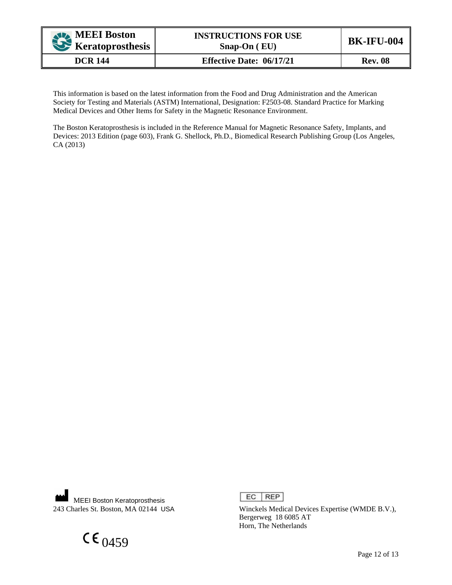| <b>ALA MEEI Boston</b><br>Keratoprosthesis | <b>INSTRUCTIONS FOR USE</b><br>$S$ nap-On $(EU)$ | <b>BK-IFU-004</b> |
|--------------------------------------------|--------------------------------------------------|-------------------|
| <b>DCR 144</b>                             | <b>Effective Date: 06/17/21</b>                  | <b>Rev. 08</b>    |

This information is based on the latest information from the Food and Drug Administration and the American Society for Testing and Materials (ASTM) International, Designation: F2503-08. Standard Practice for Marking Medical Devices and Other Items for Safety in the Magnetic Resonance Environment.

The Boston Keratoprosthesis is included in the Reference Manual for Magnetic Resonance Safety, Implants, and Devices: 2013 Edition (page 603), Frank G. Shellock, Ph.D., Biomedical Research Publishing Group (Los Angeles, CA (2013)

m MEEI Boston Keratoprosthesis<br>243 Charles St. Boston, MA 02144 USA

 $CE_{0459}$